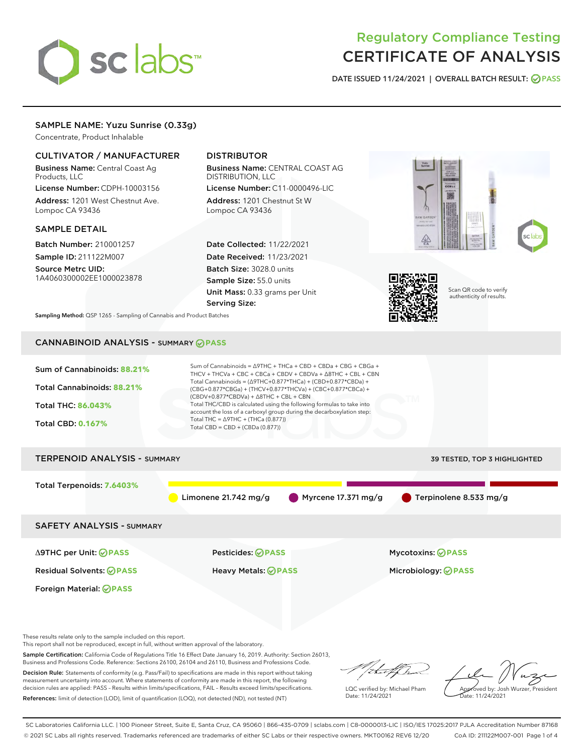# sclabs

# Regulatory Compliance Testing CERTIFICATE OF ANALYSIS

DATE ISSUED 11/24/2021 | OVERALL BATCH RESULT: @ PASS

# SAMPLE NAME: Yuzu Sunrise (0.33g)

Concentrate, Product Inhalable

# CULTIVATOR / MANUFACTURER

Business Name: Central Coast Ag Products, LLC

License Number: CDPH-10003156 Address: 1201 West Chestnut Ave. Lompoc CA 93436

#### SAMPLE DETAIL

Batch Number: 210001257 Sample ID: 211122M007

Source Metrc UID: 1A4060300002EE1000023878

# DISTRIBUTOR

Business Name: CENTRAL COAST AG DISTRIBUTION, LLC License Number: C11-0000496-LIC

Address: 1201 Chestnut St W Lompoc CA 93436

Date Collected: 11/22/2021 Date Received: 11/23/2021 Batch Size: 3028.0 units Sample Size: 55.0 units Unit Mass: 0.33 grams per Unit Serving Size:





Scan QR code to verify authenticity of results.

Sampling Method: QSP 1265 - Sampling of Cannabis and Product Batches

# CANNABINOID ANALYSIS - SUMMARY **PASS**



These results relate only to the sample included on this report.

This report shall not be reproduced, except in full, without written approval of the laboratory.

Sample Certification: California Code of Regulations Title 16 Effect Date January 16, 2019. Authority: Section 26013, Business and Professions Code. Reference: Sections 26100, 26104 and 26110, Business and Professions Code.

Decision Rule: Statements of conformity (e.g. Pass/Fail) to specifications are made in this report without taking measurement uncertainty into account. Where statements of conformity are made in this report, the following decision rules are applied: PASS – Results within limits/specifications, FAIL – Results exceed limits/specifications. References: limit of detection (LOD), limit of quantification (LOQ), not detected (ND), not tested (NT)

that f(ha

LQC verified by: Michael Pham Date: 11/24/2021

Approved by: Josh Wurzer, President ate: 11/24/2021

SC Laboratories California LLC. | 100 Pioneer Street, Suite E, Santa Cruz, CA 95060 | 866-435-0709 | sclabs.com | C8-0000013-LIC | ISO/IES 17025:2017 PJLA Accreditation Number 87168 © 2021 SC Labs all rights reserved. Trademarks referenced are trademarks of either SC Labs or their respective owners. MKT00162 REV6 12/20 CoA ID: 211122M007-001 Page 1 of 4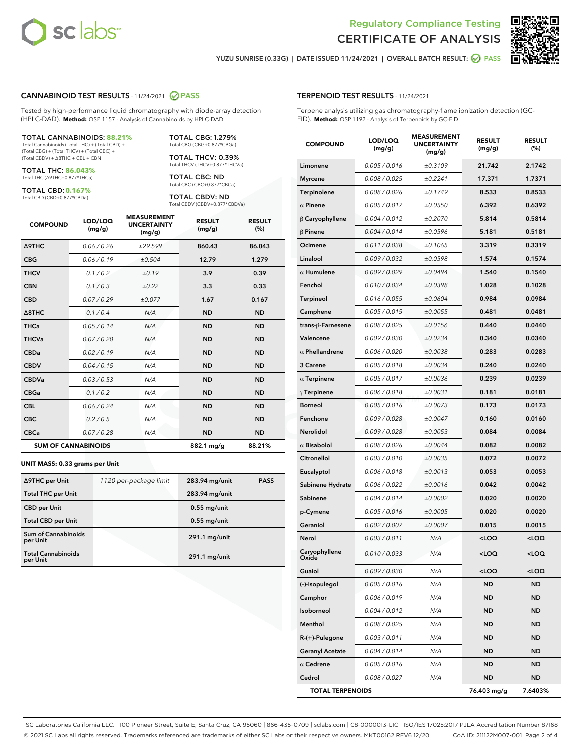



YUZU SUNRISE (0.33G) | DATE ISSUED 11/24/2021 | OVERALL BATCH RESULT: **○** PASS

#### CANNABINOID TEST RESULTS - 11/24/2021 2 PASS

Tested by high-performance liquid chromatography with diode-array detection (HPLC-DAD). **Method:** QSP 1157 - Analysis of Cannabinoids by HPLC-DAD

#### TOTAL CANNABINOIDS: **88.21%**

Total Cannabinoids (Total THC) + (Total CBD) + (Total CBG) + (Total THCV) + (Total CBC) + (Total CBDV) + ∆8THC + CBL + CBN

TOTAL THC: **86.043%** Total THC (∆9THC+0.877\*THCa)

TOTAL CBD: **0.167%**

Total CBD (CBD+0.877\*CBDa)

TOTAL CBG: 1.279% Total CBG (CBG+0.877\*CBGa)

TOTAL THCV: 0.39% Total THCV (THCV+0.877\*THCVa)

TOTAL CBC: ND Total CBC (CBC+0.877\*CBCa)

TOTAL CBDV: ND Total CBDV (CBDV+0.877\*CBDVa)

| <b>COMPOUND</b>  | LOD/LOQ<br>(mg/g)          | <b>MEASUREMENT</b><br><b>UNCERTAINTY</b><br>(mg/g) | <b>RESULT</b><br>(mg/g) | <b>RESULT</b><br>(%) |
|------------------|----------------------------|----------------------------------------------------|-------------------------|----------------------|
| <b>A9THC</b>     | 0.06 / 0.26                | ±29.599                                            | 860.43                  | 86.043               |
| <b>CBG</b>       | 0.06/0.19                  | ±0.504                                             | 12.79                   | 1.279                |
| <b>THCV</b>      | 0.1 / 0.2                  | ±0.19                                              | 3.9                     | 0.39                 |
| <b>CBN</b>       | 0.1/0.3                    | ±0.22                                              | 3.3                     | 0.33                 |
| <b>CBD</b>       | 0.07/0.29                  | ±0.077                                             | 1.67                    | 0.167                |
| $\triangle$ 8THC | 0.1 / 0.4                  | N/A                                                | <b>ND</b>               | <b>ND</b>            |
| THCa             | 0.05/0.14                  | N/A                                                | <b>ND</b>               | <b>ND</b>            |
| <b>THCVa</b>     | 0.07/0.20                  | N/A                                                | <b>ND</b>               | <b>ND</b>            |
| <b>CBDa</b>      | 0.02/0.19                  | N/A                                                | <b>ND</b>               | <b>ND</b>            |
| <b>CBDV</b>      | 0.04 / 0.15                | N/A                                                | <b>ND</b>               | <b>ND</b>            |
| <b>CBDVa</b>     | 0.03/0.53                  | N/A                                                | <b>ND</b>               | <b>ND</b>            |
| <b>CBGa</b>      | 0.1 / 0.2                  | N/A                                                | <b>ND</b>               | <b>ND</b>            |
| <b>CBL</b>       | 0.06 / 0.24                | N/A                                                | <b>ND</b>               | <b>ND</b>            |
| <b>CBC</b>       | 0.2 / 0.5                  | N/A                                                | <b>ND</b>               | <b>ND</b>            |
| <b>CBCa</b>      | 0.07/0.28                  | N/A                                                | <b>ND</b>               | <b>ND</b>            |
|                  | <b>SUM OF CANNABINOIDS</b> |                                                    | 882.1 mg/g              | 88.21%               |

#### **UNIT MASS: 0.33 grams per Unit**

| ∆9THC per Unit                         | 1120 per-package limit | 283.94 mg/unit  | <b>PASS</b> |
|----------------------------------------|------------------------|-----------------|-------------|
| <b>Total THC per Unit</b>              |                        | 283.94 mg/unit  |             |
| <b>CBD</b> per Unit                    |                        | $0.55$ mg/unit  |             |
| <b>Total CBD per Unit</b>              |                        | $0.55$ mg/unit  |             |
| <b>Sum of Cannabinoids</b><br>per Unit |                        | 291.1 mg/unit   |             |
| <b>Total Cannabinoids</b><br>per Unit  |                        | $291.1$ mg/unit |             |

| <b>COMPOUND</b>         | LOD/LOQ<br>(mg/g) | <b>MEASUREMENT</b><br><b>UNCERTAINTY</b><br>(mg/g) | <b>RESULT</b><br>(mg/g)                         | <b>RESULT</b><br>$(\%)$ |
|-------------------------|-------------------|----------------------------------------------------|-------------------------------------------------|-------------------------|
| Limonene                | 0.005 / 0.016     | ±0.3109                                            | 21.742                                          | 2.1742                  |
| <b>Myrcene</b>          | 0.008 / 0.025     | ±0.2241                                            | 17.371                                          | 1.7371                  |
| Terpinolene             | 0.008 / 0.026     | ±0.1749                                            | 8.533                                           | 0.8533                  |
| $\alpha$ Pinene         | 0.005 / 0.017     | ±0.0550                                            | 6.392                                           | 0.6392                  |
| $\beta$ Caryophyllene   | 0.004 / 0.012     | ±0.2070                                            | 5.814                                           | 0.5814                  |
| $\beta$ Pinene          | 0.004 / 0.014     | ±0.0596                                            | 5.181                                           | 0.5181                  |
| Ocimene                 | 0.011 / 0.038     | ±0.1065                                            | 3.319                                           | 0.3319                  |
| Linalool                | 0.009 / 0.032     | ±0.0598                                            | 1.574                                           | 0.1574                  |
| $\alpha$ Humulene       | 0.009/0.029       | ±0.0494                                            | 1.540                                           | 0.1540                  |
| Fenchol                 | 0.010 / 0.034     | ±0.0398                                            | 1.028                                           | 0.1028                  |
| Terpineol               | 0.016 / 0.055     | ±0.0604                                            | 0.984                                           | 0.0984                  |
| Camphene                | 0.005 / 0.015     | ±0.0055                                            | 0.481                                           | 0.0481                  |
| trans-ß-Farnesene       | 0.008 / 0.025     | ±0.0156                                            | 0.440                                           | 0.0440                  |
| Valencene               | 0.009 / 0.030     | ±0.0234                                            | 0.340                                           | 0.0340                  |
| $\alpha$ Phellandrene   | 0.006 / 0.020     | ±0.0038                                            | 0.283                                           | 0.0283                  |
| 3 Carene                | 0.005 / 0.018     | ±0.0034                                            | 0.240                                           | 0.0240                  |
| $\alpha$ Terpinene      | 0.005 / 0.017     | ±0.0036                                            | 0.239                                           | 0.0239                  |
| $\gamma$ Terpinene      | 0.006 / 0.018     | ±0.0031                                            | 0.181                                           | 0.0181                  |
| <b>Borneol</b>          | 0.005 / 0.016     | ±0.0073                                            | 0.173                                           | 0.0173                  |
| Fenchone                | 0.009 / 0.028     | ±0.0047                                            | 0.160                                           | 0.0160                  |
| Nerolidol               | 0.009 / 0.028     | ±0.0053                                            | 0.084                                           | 0.0084                  |
| $\alpha$ Bisabolol      | 0.008 / 0.026     | ±0.0044                                            | 0.082                                           | 0.0082                  |
| Citronellol             | 0.003 / 0.010     | ±0.0035                                            | 0.072                                           | 0.0072                  |
| Eucalyptol              | 0.006 / 0.018     | ±0.0013                                            | 0.053                                           | 0.0053                  |
| Sabinene Hydrate        | 0.006 / 0.022     | ±0.0016                                            | 0.042                                           | 0.0042                  |
| Sabinene                | 0.004 / 0.014     | ±0.0002                                            | 0.020                                           | 0.0020                  |
| p-Cymene                | 0.005 / 0.016     | ±0.0005                                            | 0.020                                           | 0.0020                  |
| Geraniol                | 0.002 / 0.007     | ±0.0007                                            | 0.015                                           | 0.0015                  |
| Nerol                   | 0.003 / 0.011     | N/A                                                | <loq< th=""><th><loq< th=""></loq<></th></loq<> | <loq< th=""></loq<>     |
| Caryophyllene<br>Oxide  | 0.010 / 0.033     | N/A                                                | <loq< th=""><th><loq< th=""></loq<></th></loq<> | <loq< th=""></loq<>     |
| Guaiol                  | 0.009 / 0.030     | N/A                                                | <loq< th=""><th><loq< th=""></loq<></th></loq<> | <loq< th=""></loq<>     |
| (-)-Isopulegol          | 0.005 / 0.016     | N/A                                                | ND                                              | <b>ND</b>               |
| Camphor                 | 0.006 / 0.019     | N/A                                                | ND                                              | ND                      |
| Isoborneol              | 0.004 / 0.012     | N/A                                                | ND                                              | <b>ND</b>               |
| Menthol                 | 0.008 / 0.025     | N/A                                                | ND                                              | <b>ND</b>               |
| $R-(+)$ -Pulegone       | 0.003 / 0.011     | N/A                                                | ND                                              | ND                      |
| <b>Geranyl Acetate</b>  | 0.004 / 0.014     | N/A                                                | ND                                              | <b>ND</b>               |
| $\alpha$ Cedrene        | 0.005 / 0.016     | N/A                                                | ND                                              | <b>ND</b>               |
| Cedrol                  | 0.008 / 0.027     | N/A                                                | ND                                              | ND                      |
| <b>TOTAL TERPENOIDS</b> |                   |                                                    | 76.403 mg/g                                     | 7.6403%                 |

SC Laboratories California LLC. | 100 Pioneer Street, Suite E, Santa Cruz, CA 95060 | 866-435-0709 | sclabs.com | C8-0000013-LIC | ISO/IES 17025:2017 PJLA Accreditation Number 87168 © 2021 SC Labs all rights reserved. Trademarks referenced are trademarks of either SC Labs or their respective owners. MKT00162 REV6 12/20 CoA ID: 211122M007-001 Page 2 of 4

# TERPENOID TEST RESULTS - 11/24/2021

Terpene analysis utilizing gas chromatography-flame ionization detection (GC-FID). **Method:** QSP 1192 - Analysis of Terpenoids by GC-FID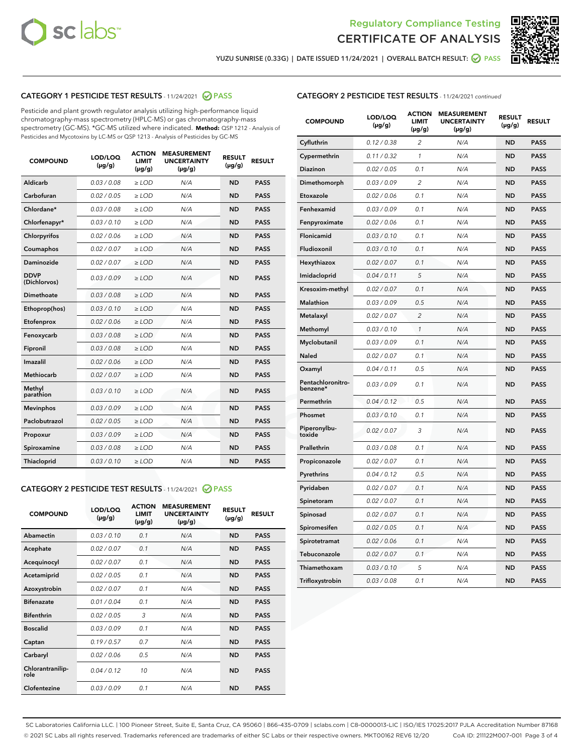



YUZU SUNRISE (0.33G) | DATE ISSUED 11/24/2021 | OVERALL BATCH RESULT:  $\bigcirc$  PASS

# CATEGORY 1 PESTICIDE TEST RESULTS - 11/24/2021 2 PASS

Pesticide and plant growth regulator analysis utilizing high-performance liquid chromatography-mass spectrometry (HPLC-MS) or gas chromatography-mass spectrometry (GC-MS). \*GC-MS utilized where indicated. **Method:** QSP 1212 - Analysis of Pesticides and Mycotoxins by LC-MS or QSP 1213 - Analysis of Pesticides by GC-MS

| <b>COMPOUND</b>             | LOD/LOQ<br>$(\mu g/g)$ | <b>ACTION</b><br><b>LIMIT</b><br>$(\mu q/q)$ | <b>MEASUREMENT</b><br><b>UNCERTAINTY</b><br>$(\mu g/g)$ | <b>RESULT</b><br>$(\mu g/g)$ | <b>RESULT</b> |
|-----------------------------|------------------------|----------------------------------------------|---------------------------------------------------------|------------------------------|---------------|
| Aldicarb                    | 0.03 / 0.08            | $\ge$ LOD                                    | N/A                                                     | <b>ND</b>                    | <b>PASS</b>   |
| Carbofuran                  | 0.02 / 0.05            | $\geq$ LOD                                   | N/A                                                     | <b>ND</b>                    | <b>PASS</b>   |
| Chlordane*                  | 0.03 / 0.08            | $\ge$ LOD                                    | N/A                                                     | <b>ND</b>                    | <b>PASS</b>   |
| Chlorfenapyr*               | 0.03/0.10              | $\geq$ LOD                                   | N/A                                                     | <b>ND</b>                    | <b>PASS</b>   |
| Chlorpyrifos                | 0.02 / 0.06            | $\ge$ LOD                                    | N/A                                                     | <b>ND</b>                    | <b>PASS</b>   |
| Coumaphos                   | 0.02 / 0.07            | $\ge$ LOD                                    | N/A                                                     | <b>ND</b>                    | <b>PASS</b>   |
| Daminozide                  | 0.02 / 0.07            | $\ge$ LOD                                    | N/A                                                     | <b>ND</b>                    | <b>PASS</b>   |
| <b>DDVP</b><br>(Dichlorvos) | 0.03/0.09              | $\ge$ LOD                                    | N/A                                                     | <b>ND</b>                    | <b>PASS</b>   |
| Dimethoate                  | 0.03 / 0.08            | $\ge$ LOD                                    | N/A                                                     | <b>ND</b>                    | <b>PASS</b>   |
| Ethoprop(hos)               | 0.03/0.10              | $\ge$ LOD                                    | N/A                                                     | <b>ND</b>                    | <b>PASS</b>   |
| Etofenprox                  | 0.02/0.06              | $>$ LOD                                      | N/A                                                     | <b>ND</b>                    | <b>PASS</b>   |
| Fenoxycarb                  | 0.03 / 0.08            | $\ge$ LOD                                    | N/A                                                     | <b>ND</b>                    | <b>PASS</b>   |
| Fipronil                    | 0.03/0.08              | $>$ LOD                                      | N/A                                                     | <b>ND</b>                    | <b>PASS</b>   |
| Imazalil                    | 0.02 / 0.06            | $\ge$ LOD                                    | N/A                                                     | <b>ND</b>                    | <b>PASS</b>   |
| Methiocarb                  | 0.02 / 0.07            | $\ge$ LOD                                    | N/A                                                     | <b>ND</b>                    | <b>PASS</b>   |
| Methyl<br>parathion         | 0.03/0.10              | $>$ LOD                                      | N/A                                                     | <b>ND</b>                    | <b>PASS</b>   |
| <b>Mevinphos</b>            | 0.03/0.09              | $>$ LOD                                      | N/A                                                     | <b>ND</b>                    | <b>PASS</b>   |
| Paclobutrazol               | 0.02 / 0.05            | $>$ LOD                                      | N/A                                                     | <b>ND</b>                    | <b>PASS</b>   |
| Propoxur                    | 0.03/0.09              | $\ge$ LOD                                    | N/A                                                     | <b>ND</b>                    | <b>PASS</b>   |
| Spiroxamine                 | 0.03 / 0.08            | $\ge$ LOD                                    | N/A                                                     | <b>ND</b>                    | <b>PASS</b>   |
| Thiacloprid                 | 0.03/0.10              | $\ge$ LOD                                    | N/A                                                     | <b>ND</b>                    | <b>PASS</b>   |

#### CATEGORY 2 PESTICIDE TEST RESULTS - 11/24/2021 @ PASS

| <b>COMPOUND</b>          | LOD/LOO<br>$(\mu g/g)$ | <b>ACTION</b><br>LIMIT<br>$(\mu g/g)$ | <b>MEASUREMENT</b><br><b>UNCERTAINTY</b><br>$(\mu g/g)$ | <b>RESULT</b><br>$(\mu g/g)$ | <b>RESULT</b> |
|--------------------------|------------------------|---------------------------------------|---------------------------------------------------------|------------------------------|---------------|
| Abamectin                | 0.03/0.10              | 0.1                                   | N/A                                                     | <b>ND</b>                    | <b>PASS</b>   |
| Acephate                 | 0.02/0.07              | 0.1                                   | N/A                                                     | <b>ND</b>                    | <b>PASS</b>   |
| Acequinocyl              | 0.02/0.07              | 0.1                                   | N/A                                                     | <b>ND</b>                    | <b>PASS</b>   |
| Acetamiprid              | 0.02/0.05              | 0.1                                   | N/A                                                     | <b>ND</b>                    | <b>PASS</b>   |
| Azoxystrobin             | 0.02/0.07              | 0.1                                   | N/A                                                     | <b>ND</b>                    | <b>PASS</b>   |
| <b>Bifenazate</b>        | 0.01 / 0.04            | 0.1                                   | N/A                                                     | <b>ND</b>                    | <b>PASS</b>   |
| <b>Bifenthrin</b>        | 0.02 / 0.05            | 3                                     | N/A                                                     | <b>ND</b>                    | <b>PASS</b>   |
| <b>Boscalid</b>          | 0.03/0.09              | 0.1                                   | N/A                                                     | <b>ND</b>                    | <b>PASS</b>   |
| Captan                   | 0.19/0.57              | 0.7                                   | N/A                                                     | <b>ND</b>                    | <b>PASS</b>   |
| Carbaryl                 | 0.02/0.06              | 0.5                                   | N/A                                                     | <b>ND</b>                    | <b>PASS</b>   |
| Chlorantranilip-<br>role | 0.04/0.12              | 10                                    | N/A                                                     | <b>ND</b>                    | <b>PASS</b>   |
| Clofentezine             | 0.03/0.09              | 0.1                                   | N/A                                                     | <b>ND</b>                    | <b>PASS</b>   |

|  | <b>CATEGORY 2 PESTICIDE TEST RESULTS</b> - 11/24/2021 continued |
|--|-----------------------------------------------------------------|
|  |                                                                 |

| <b>COMPOUND</b>               | LOD/LOQ<br>(µg/g) | <b>ACTION</b><br>LIMIT<br>(µg/g) | <b>MEASUREMENT</b><br><b>UNCERTAINTY</b><br>$(\mu g/g)$ | <b>RESULT</b><br>(µg/g) | <b>RESULT</b> |
|-------------------------------|-------------------|----------------------------------|---------------------------------------------------------|-------------------------|---------------|
| Cyfluthrin                    | 0.12 / 0.38       | $\overline{c}$                   | N/A                                                     | <b>ND</b>               | <b>PASS</b>   |
| Cypermethrin                  | 0.11/0.32         | 1                                | N/A                                                     | <b>ND</b>               | <b>PASS</b>   |
| <b>Diazinon</b>               | 0.02 / 0.05       | 0.1                              | N/A                                                     | <b>ND</b>               | <b>PASS</b>   |
| Dimethomorph                  | 0.03 / 0.09       | 2                                | N/A                                                     | ND                      | <b>PASS</b>   |
| Etoxazole                     | 0.02 / 0.06       | 0.1                              | N/A                                                     | ND                      | <b>PASS</b>   |
| Fenhexamid                    | 0.03 / 0.09       | 0.1                              | N/A                                                     | <b>ND</b>               | <b>PASS</b>   |
| Fenpyroximate                 | 0.02 / 0.06       | 0.1                              | N/A                                                     | <b>ND</b>               | <b>PASS</b>   |
| Flonicamid                    | 0.03/0.10         | 0.1                              | N/A                                                     | <b>ND</b>               | <b>PASS</b>   |
| Fludioxonil                   | 0.03/0.10         | 0.1                              | N/A                                                     | <b>ND</b>               | <b>PASS</b>   |
| Hexythiazox                   | 0.02 / 0.07       | 0.1                              | N/A                                                     | <b>ND</b>               | <b>PASS</b>   |
| Imidacloprid                  | 0.04 / 0.11       | 5                                | N/A                                                     | <b>ND</b>               | <b>PASS</b>   |
| Kresoxim-methyl               | 0.02 / 0.07       | 0.1                              | N/A                                                     | ND                      | <b>PASS</b>   |
| <b>Malathion</b>              | 0.03 / 0.09       | 0.5                              | N/A                                                     | <b>ND</b>               | <b>PASS</b>   |
| Metalaxyl                     | 0.02 / 0.07       | $\overline{c}$                   | N/A                                                     | ND                      | <b>PASS</b>   |
| Methomyl                      | 0.03 / 0.10       | 1                                | N/A                                                     | <b>ND</b>               | <b>PASS</b>   |
| Myclobutanil                  | 0.03 / 0.09       | 0.1                              | N/A                                                     | <b>ND</b>               | <b>PASS</b>   |
| Naled                         | 0.02 / 0.07       | 0.1                              | N/A                                                     | <b>ND</b>               | <b>PASS</b>   |
| Oxamyl                        | 0.04 / 0.11       | 0.5                              | N/A                                                     | ND                      | <b>PASS</b>   |
| Pentachloronitro-<br>benzene* | 0.03 / 0.09       | 0.1                              | N/A                                                     | ND                      | <b>PASS</b>   |
| Permethrin                    | 0.04 / 0.12       | 0.5                              | N/A                                                     | <b>ND</b>               | <b>PASS</b>   |
| Phosmet                       | 0.03 / 0.10       | 0.1                              | N/A                                                     | <b>ND</b>               | <b>PASS</b>   |
| Piperonylbu-<br>toxide        | 0.02 / 0.07       | 3                                | N/A                                                     | <b>ND</b>               | <b>PASS</b>   |
| Prallethrin                   | 0.03 / 0.08       | 0.1                              | N/A                                                     | <b>ND</b>               | <b>PASS</b>   |
| Propiconazole                 | 0.02 / 0.07       | 0.1                              | N/A                                                     | <b>ND</b>               | <b>PASS</b>   |
| Pyrethrins                    | 0.04 / 0.12       | 0.5                              | N/A                                                     | <b>ND</b>               | <b>PASS</b>   |
| Pyridaben                     | 0.02 / 0.07       | 0.1                              | N/A                                                     | ND                      | <b>PASS</b>   |
| Spinetoram                    | 0.02 / 0.07       | 0.1                              | N/A                                                     | <b>ND</b>               | <b>PASS</b>   |
| Spinosad                      | 0.02 / 0.07       | 0.1                              | N/A                                                     | <b>ND</b>               | <b>PASS</b>   |
| Spiromesifen                  | 0.02 / 0.05       | 0.1                              | N/A                                                     | ND                      | PASS          |
| Spirotetramat                 | 0.02 / 0.06       | 0.1                              | N/A                                                     | <b>ND</b>               | <b>PASS</b>   |
| Tebuconazole                  | 0.02 / 0.07       | 0.1                              | N/A                                                     | <b>ND</b>               | <b>PASS</b>   |
| Thiamethoxam                  | 0.03 / 0.10       | 5                                | N/A                                                     | ND                      | <b>PASS</b>   |
| Trifloxystrobin               | 0.03 / 0.08       | 0.1                              | N/A                                                     | ND                      | <b>PASS</b>   |

SC Laboratories California LLC. | 100 Pioneer Street, Suite E, Santa Cruz, CA 95060 | 866-435-0709 | sclabs.com | C8-0000013-LIC | ISO/IES 17025:2017 PJLA Accreditation Number 87168 © 2021 SC Labs all rights reserved. Trademarks referenced are trademarks of either SC Labs or their respective owners. MKT00162 REV6 12/20 CoA ID: 211122M007-001 Page 3 of 4